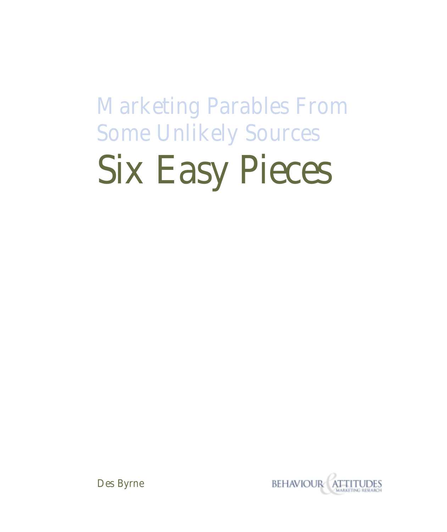# Marketing Parables From Some Unlikely Sources Six Easy Pieces



Des Byrne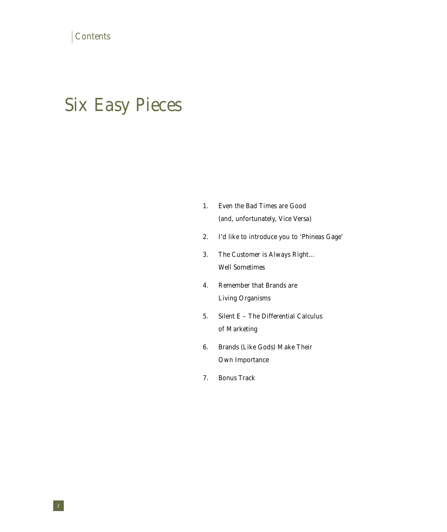## Six Easy Pieces

| Even the Bad Times are Good      |
|----------------------------------|
| (and, unfortunately, Vice Versa) |

- 2. I'd like to introduce you to 'Phineas Gage'
- 3. The Customer is Always Right... Well Sometimes
- 4. Remember that Brands are Living Organisms
- 5. Silent E The Differential Calculus of Marketing
- 6. Brands (Like Gods) Make Their Own Importance
- 7. Bonus Track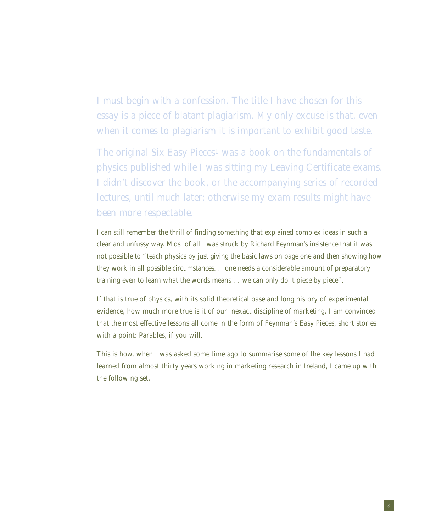I must begin with a confession. The title I have chosen for this essay is a piece of blatant plagiarism. My only excuse is that, even when it comes to plagiarism it is important to exhibit good taste.

The original Six Easy Pieces<sup>1</sup> was a book on the fundamentals of physics published while I was sitting my Leaving Certificate exams. I didn't discover the book, or the accompanying series of recorded lectures, until much later: otherwise my exam results might have been more respectable.

I can still remember the thrill of finding something that explained complex ideas in such a clear and unfussy way. Most of all I was struck by Richard Feynman's insistence that it was not possible to "teach physics by just giving the basic laws on page one and then showing how they work in all possible circumstances…. one needs a considerable amount of preparatory training even to learn what the *words* means … we can only do it piece by piece".

If that is true of physics, with its solid theoretical base and long history of experimental evidence, how much more true is it of our inexact discipline of marketing. I am convinced that the most effective lessons all come in the form of Feynman's Easy Pieces, short stories with a point: Parables, if you will.

This is how, when I was asked some time ago to summarise some of the key lessons I had learned from almost thirty years working in marketing research in Ireland, I came up with the following set.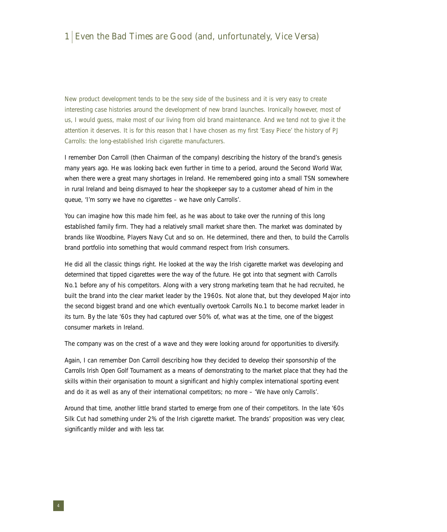#### 1 Even the Bad Times are Good (and, unfortunately, Vice Versa)

New product development tends to be the sexy side of the business and it is very easy to create interesting case histories around the development of new brand launches. Ironically however, most of us, I would guess, make most of our living from old brand maintenance. And we tend not to give it the attention it deserves. It is for this reason that I have chosen as my first 'Easy Piece' the history of PJ Carrolls: the long-established Irish cigarette manufacturers.

I remember Don Carroll (then Chairman of the company) describing the history of the brand's genesis many years ago. He was looking back even further in time to a period, around the Second World War, when there were a great many shortages in Ireland. He remembered going into a small TSN somewhere in rural Ireland and being dismayed to hear the shopkeeper say to a customer ahead of him in the queue, 'I'm sorry we have no cigarettes – we have only Carrolls'.

You can imagine how this made him feel, as he was about to take over the running of this long established family firm. They had a relatively small market share then. The market was dominated by brands like Woodbine, Players Navy Cut and so on. He determined, there and then, to build the Carrolls brand portfolio into something that would command respect from Irish consumers.

He did all the classic things right. He looked at the way the Irish cigarette market was developing and determined that tipped cigarettes were the way of the future. He got into that segment with Carrolls No.1 before any of his competitors. Along with a very strong marketing team that he had recruited, he built the brand into the clear market leader by the 1960s. Not alone that, but they developed Major into the second biggest brand and one which eventually overtook Carrolls No.1 to become market leader in its turn. By the late '60s they had captured over 50% of, what was at the time, one of the biggest consumer markets in Ireland.

The company was on the crest of a wave and they were looking around for opportunities to diversify.

Again, I can remember Don Carroll describing how they decided to develop their sponsorship of the Carrolls Irish Open Golf Tournament as a means of demonstrating to the market place that they had the skills within their organisation to mount a significant and highly complex international sporting event and do it as well as any of their international competitors; no more – 'We have only Carrolls'.

Around that time, another little brand started to emerge from one of their competitors. In the late '60s Silk Cut had something under 2% of the Irish cigarette market. The brands' proposition was very clear, significantly milder and with less tar.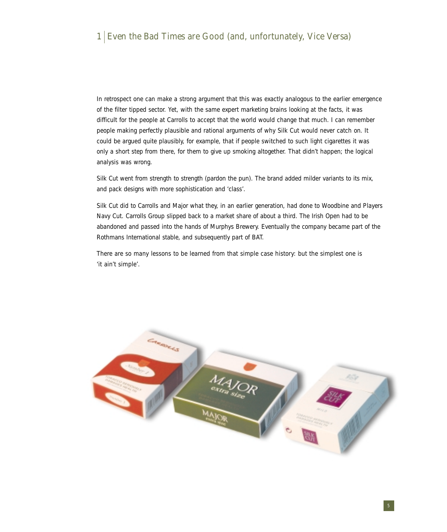#### 1 Even the Bad Times are Good (and, unfortunately, Vice Versa)

In retrospect one can make a strong argument that this was exactly analogous to the earlier emergence of the filter tipped sector. Yet, with the same expert marketing brains looking at the facts, it was difficult for the people at Carrolls to accept that the world would change that much. I can remember people making perfectly plausible and rational arguments of why Silk Cut would never catch on. It could be argued quite plausibly, for example, that if people switched to such light cigarettes it was only a short step from there, for them to give up smoking altogether. That didn't happen; the logical analysis was wrong.

Silk Cut went from strength to strength (pardon the pun). The brand added milder variants to its mix, and pack designs with more sophistication and 'class'.

Silk Cut did to Carrolls and Major what they, in an earlier generation, had done to Woodbine and Players Navy Cut. Carrolls Group slipped back to a market share of about a third. The Irish Open had to be abandoned and passed into the hands of Murphys Brewery. Eventually the company became part of the Rothmans International stable, and subsequently part of BAT.

There are so many lessons to be learned from that simple case history: but the simplest one is 'it ain't simple'.

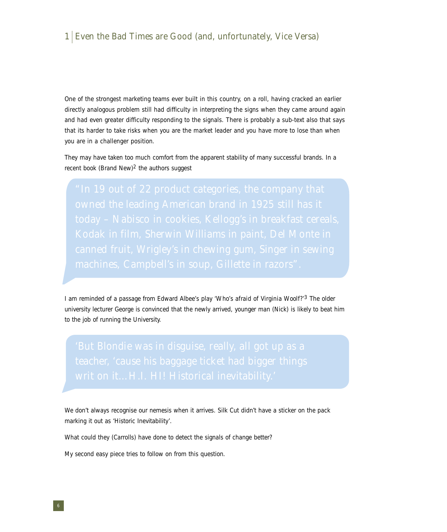#### 1 Even the Bad Times are Good (and, unfortunately, Vice Versa)

One of the strongest marketing teams ever built in this country, on a roll, having cracked an earlier directly analogous problem still had difficulty in interpreting the signs when they came around again and had even greater difficulty responding to the signals. There is probably a sub-text also that says that its harder to take risks when you are the market leader and you have more to lose than when you are in a challenger position.

They may have taken too much comfort from the apparent stability of many successful brands. In a recent book (Brand New)<sup>2</sup> the authors suggest

I am reminded of a passage from Edward Albee's play *'Who's afraid of Virginia Woolf?'*3 The older university lecturer George is convinced that the newly arrived, younger man (Nick) is likely to beat him to the job of running the University.

We don't always recognise our nemesis when it arrives. Silk Cut didn't have a sticker on the pack marking it out as 'Historic Inevitability'.

What could they (Carrolls) have done to detect the signals of change better?

My second easy piece tries to follow on from this question.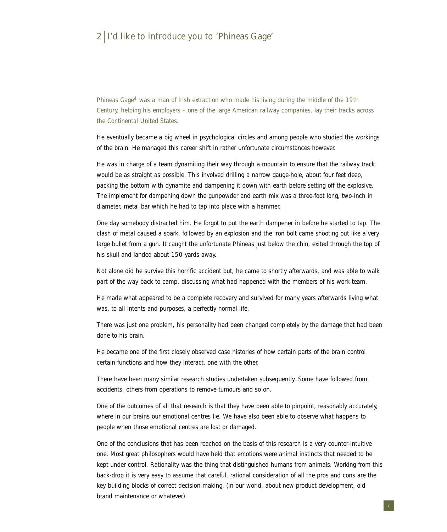#### 2 I'd like to introduce you to 'Phineas Gage'

Phineas Gage4 was a man of Irish extraction who made his living during the middle of the 19th Century, helping his employers – one of the large American railway companies, lay their tracks across the Continental United States.

He eventually became a big wheel in psychological circles and among people who studied the workings of the brain. He managed this career shift in rather unfortunate circumstances however.

He was in charge of a team dynamiting their way through a mountain to ensure that the railway track would be as straight as possible. This involved drilling a narrow gauge-hole, about four feet deep, packing the bottom with dynamite and dampening it down with earth before setting off the explosive. The implement for dampening down the gunpowder and earth mix was a three-foot long, two-inch in diameter, metal bar which he had to tap into place with a hammer.

One day somebody distracted him. He forgot to put the earth dampener in before he started to tap. The clash of metal caused a spark, followed by an explosion and the iron bolt came shooting out like a very large bullet from a gun. It caught the unfortunate Phineas just below the chin, exited through the top of his skull and landed about 150 yards away.

Not alone did he survive this horrific accident but, he came to shortly afterwards, and was able to walk part of the way back to camp, discussing what had happened with the members of his work team.

He made what appeared to be a complete recovery and survived for many years afterwards living what was, to all intents and purposes, a perfectly normal life.

There was just one problem, his personality had been changed completely by the damage that had been done to his brain.

He became one of the first closely observed case histories of how certain parts of the brain control certain functions and how they interact, one with the other.

There have been many similar research studies undertaken subsequently. Some have followed from accidents, others from operations to remove tumours and so on.

One of the outcomes of all that research is that they have been able to pinpoint, reasonably accurately, where in our brains our emotional centres lie. We have also been able to observe what happens to people when those emotional centres are lost or damaged.

One of the conclusions that has been reached on the basis of this research is a very counter-intuitive one. Most great philosophers would have held that emotions were animal instincts that needed to be kept under control. Rationality was the thing that distinguished humans from animals. Working from this back-drop it is very easy to assume that careful, rational consideration of all the pros and cons are the key building blocks of correct decision making, (in our world, about new product development, old brand maintenance or whatever).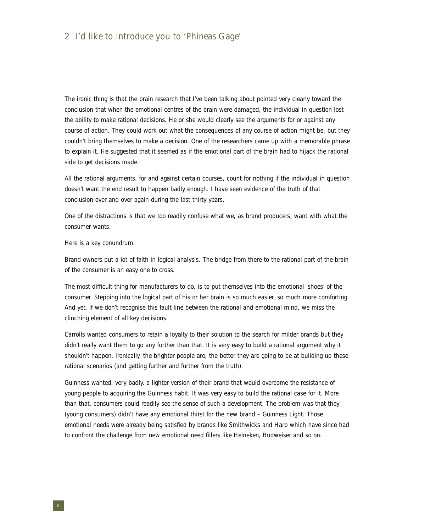#### 2 I'd like to introduce you to 'Phineas Gage'

The ironic thing is that the brain research that I've been talking about pointed very clearly toward the conclusion that when the emotional centres of the brain were damaged, the individual in question lost the ability to make rational decisions. He or she would clearly see the arguments for or against any course of action. They could work out what the consequences of any course of action might be, but they couldn't bring themselves to make a decision. One of the researchers came up with a memorable phrase to explain it. He suggested that it seemed as if the emotional part of the brain had to hijack the rational side to get decisions made.

All the rational arguments, for and against certain courses, count for nothing if the individual in question doesn't want the end result to happen badly enough. I have seen evidence of the truth of that conclusion over and over again during the last thirty years.

One of the distractions is that we too readily confuse what we, as brand producers, want with what the consumer wants.

#### Here is a key conundrum.

Brand owners put a lot of faith in logical analysis. The bridge from there to the rational part of the brain of the consumer is an easy one to cross.

The most difficult thing for manufacturers to do, is to put themselves into the emotional 'shoes' of the consumer. Stepping into the logical part of his or her brain is so much easier, so much more comforting. And yet, if we don't recognise this fault line between the rational and emotional mind, we miss the clinching element of all key decisions.

Carrolls wanted consumers to retain a loyalty to their solution to the search for milder brands but they didn't really want them to go any further than that. It is very easy to build a rational argument why it shouldn't happen. Ironically, the brighter people are, the better they are going to be at building up these rational scenarios (and getting further and further from the truth).

Guinness wanted, very badly, a lighter version of their brand that would overcome the resistance of young people to acquiring the Guinness habit. It was very easy to build the rational case for it. More than that, consumers could readily see the sense of such a development. The problem was that they (young consumers) didn't have any emotional thirst for the new brand – Guinness Light. Those emotional needs were already being satisfied by brands like Smithwicks and Harp which have since had to confront the challenge from new emotional need fillers like Heineken, Budweiser and so on.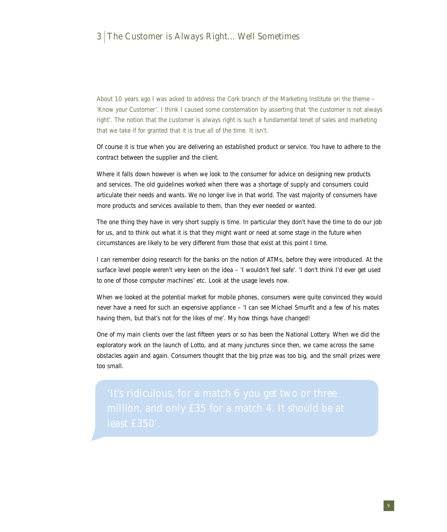#### 3 The Customer is Always Right... Well Sometimes

About 10 years ago I was asked to address the Cork branch of the Marketing Institute on the theme – 'Know your Customer'. I think I caused some consternation by asserting that 'the customer is *not* always right'. The notion that the customer is always right is such a fundamental tenet of sales and marketing that we take if for granted that it is true all of the time. It isn't.

Of course it is true when you are delivering an established product or service. You have to adhere to the contract between the supplier and the client.

Where it falls down however is when we look to the consumer for advice on designing new products and services. The old guidelines worked when there was a shortage of supply and consumers could articulate their needs and wants. We no longer live in that world. The vast majority of consumers have more products and services available to them, than they ever needed or wanted.

The one thing they have in very short supply is time. In particular they don't have the time to do our job for us, and to think out what it is that they might want or need at some stage in the future when circumstances are likely to be very different from those that exist at this point I time.

I can remember doing research for the banks on the notion of ATMs, before they were introduced. At the surface level people weren't very keen on the idea – 'I wouldn't feel safe'. 'I don't think I'd ever get used to one of those computer machines' etc. Look at the usage levels now.

When we looked at the potential market for mobile phones, consumers were quite convinced they would never have a need for such an expensive appliance – 'I can see Michael Smurfit and a few of his mates having them, but that's not for the likes of me'. My how things have changed!

One of my main clients over the last fifteen years or so has been the National Lottery. When we did the exploratory work on the launch of Lotto, and at many junctures since then, we came across the same obstacles again and again. Consumers thought that the big prize was too big, and the small prizes were too small.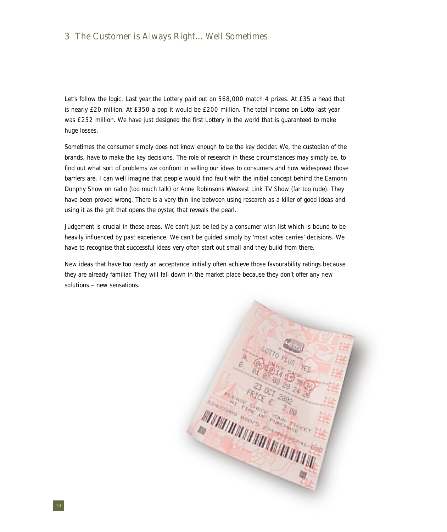### 3 The Customer is Always Right... Well Sometimes

Let's follow the logic. Last year the Lottery paid out on 568,000 match 4 prizes. At £35 a head that is nearly £20 million. At £350 a pop it would be £200 million. The total income on Lotto last year was £252 million. We have just designed the first Lottery in the world that is guaranteed to make huge losses.

Sometimes the consumer simply does not know enough to be the key decider. We, the custodian of the brands, have to make the key decisions. The role of research in these circumstances may simply be, to find out what sort of problems we confront in selling our ideas to consumers and how widespread those barriers are. I can well imagine that people would find fault with the initial concept behind the Eamonn Dunphy Show on radio (too much talk) or Anne Robinsons Weakest Link TV Show (far too rude). They have been proved wrong. There is a very thin line between using research as a killer of good ideas and using it as the grit that opens the oyster, that reveals the pearl.

Judgement is crucial in these areas. We can't just be led by a consumer wish list which is bound to be heavily influenced by past experience. We can't be guided simply by 'most votes carries' decisions. We have to recognise that successful ideas very often start out small and they build from there.

New ideas that have too ready an acceptance initially often achieve those favourability ratings *because* they are already familiar. They will fall down in the market place because they don't offer any *new solutions* – new sensations.

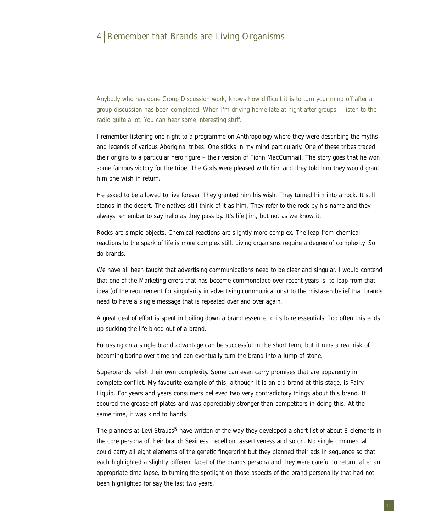#### 4 Remember that Brands are Living Organisms

Anybody who has done Group Discussion work, knows how difficult it is to turn your mind off after a group discussion has been completed. When I'm driving home late at night after groups, I listen to the radio quite a lot. You can hear some interesting stuff.

I remember listening one night to a programme on Anthropology where they were describing the myths and legends of various Aboriginal tribes. One sticks in my mind particularly. One of these tribes traced their origins to a particular hero figure – their version of Fionn MacCumhail. The story goes that he won some famous victory for the tribe. The Gods were pleased with him and they told him they would grant him one wish in return.

He asked to be allowed to live forever. They granted him his wish. They turned him into a rock. It still stands in the desert. The natives still think of it as him. They refer to the rock by his name and they always remember to say hello as they pass by. It's life Jim, but not as we know it.

Rocks are simple objects. Chemical reactions are slightly more complex. The leap from chemical reactions to the spark of life is more complex still. Living organisms require a degree of complexity. So do brands.

We have all been taught that advertising communications need to be clear and singular. I would contend that one of the Marketing errors that has become commonplace over recent years is, to leap from that idea (of the requirement for singularity in advertising communications) to the mistaken belief that brands need to have a single message that is repeated over and over again.

A great deal of effort is spent in boiling down a brand essence to its bare essentials. Too often this ends up sucking the life-blood out of a brand.

Focussing on a *single* brand advantage can be successful in the short term, but it runs a real risk of becoming boring over time and can eventually turn the brand into a lump of stone.

Superbrands relish their own complexity. Some can even carry promises that are apparently in complete conflict. My favourite example of this, although it is an old brand at this stage, is Fairy Liquid. For years and years consumers believed two very contradictory things about this brand. It scoured the grease off plates and was appreciably stronger than competitors in doing this. At the same time, it was kind to hands.

The planners at Levi Strauss<sup>5</sup> have written of the way they developed a short list of about 8 elements in the core persona of their brand: Sexiness, rebellion, assertiveness and so on. No single commercial could carry all eight elements of the genetic fingerprint but they planned their ads in sequence so that each highlighted a slightly different facet of the brands persona and they were careful to return, after an appropriate time lapse, to turning the spotlight on those aspects of the brand personality that had not been highlighted for say the last two years.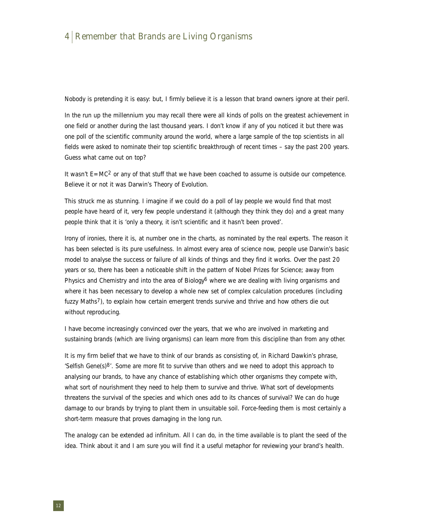#### 4 Remember that Brands are Living Organisms

Nobody is pretending it is easy: but, I firmly believe it is a lesson that brand owners ignore at their peril.

In the run up the millennium you may recall there were all kinds of polls on the greatest achievement in one field or another during the last thousand years. I don't know if any of you noticed it but there was one poll of the scientific community around the world, where a large sample of the top scientists in all fields were asked to nominate their top scientific breakthrough of recent times – say the past 200 years. Guess what came out on top?

It wasn't  $E=MC^2$  or any of that stuff that we have been coached to assume is outside our competence. Believe it or not it was Darwin's Theory of Evolution.

This struck me as stunning. I imagine if we could do a poll of lay people we would find that most people have heard of it, very few people understand it (although they think they do) and a great many people think that it is 'only a theory, it isn't scientific and it hasn't been proved'.

Irony of ironies, there it is, at number one in the charts, as nominated by the real experts. The reason it has been selected is its pure usefulness. In almost every area of science now, people use Darwin's basic model to analyse the success or failure of all kinds of things and they find it works. Over the past 20 years or so, there has been a noticeable shift in the pattern of Nobel Prizes for Science; away from Physics and Chemistry and into the area of Biology<sup>6</sup> where we are dealing with living organisms and where it has been necessary to develop a whole new set of complex calculation procedures (including fuzzy Maths7), to explain how certain emergent trends survive and thrive and how others die out without reproducing.

I have become increasingly convinced over the years, that we who are involved in marketing and sustaining brands (which are living organisms) can learn more from this discipline than from any other.

It is my firm belief that we have to think of our brands as consisting of, in Richard Dawkin's phrase, 'Selfish Gene(s) $8'$ . Some are more fit to survive than others and we need to adopt this approach to analysing our brands, to have any chance of establishing which other organisms they compete with, what sort of nourishment they need to help them to survive and thrive. What sort of developments threatens the survival of the species and which ones add to its chances of survival? We can do huge damage to our brands by trying to plant them in unsuitable soil. Force-feeding them is most certainly a short-term measure that proves damaging in the long run.

The analogy can be extended ad infinitum. All I can do, in the time available is to plant the seed of the idea. Think about it and I am sure you will find it a useful metaphor for reviewing your brand's health.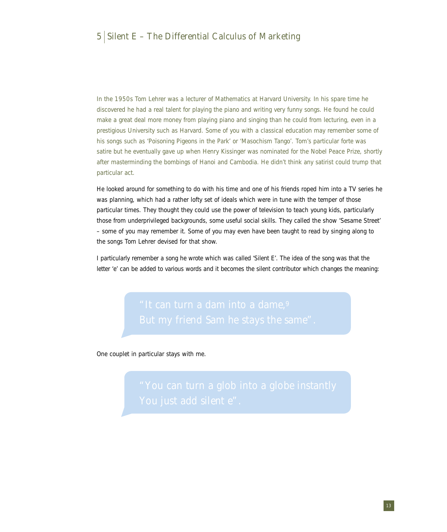#### $5$  Silent E – The Differential Calculus of Marketing

In the 1950s Tom Lehrer was a lecturer of Mathematics at Harvard University. In his spare time he discovered he had a real talent for playing the piano and writing very funny songs. He found he could make a great deal more money from playing piano and singing than he could from lecturing, even in a prestigious University such as Harvard. Some of you with a classical education may remember some of his songs such as 'Poisoning Pigeons in the Park' or 'Masochism Tango'. Tom's particular forte was satire but he eventually gave up when Henry Kissinger was nominated for the Nobel Peace Prize, shortly after masterminding the bombings of Hanoi and Cambodia. He didn't think any satirist could trump that particular act.

He looked around for something to do with his time and one of his friends roped him into a TV series he was planning, which had a rather lofty set of ideals which were in tune with the temper of those particular times. They thought they could use the power of television to teach young kids, particularly those from underprivileged backgrounds, some useful social skills. They called the show 'Sesame Street' – some of you may remember it. Some of you may even have been taught to read by singing along to the songs Tom Lehrer devised for that show.

I particularly remember a song he wrote which was called 'Silent E'. The idea of the song was that the letter 'e' can be added to various words and it becomes the silent contributor which changes the meaning:

One couplet in particular stays with me.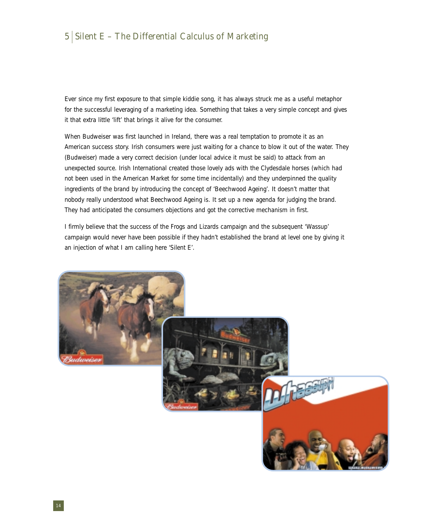#### $5$  Silent E – The Differential Calculus of Marketing

Ever since my first exposure to that simple kiddie song, it has always struck me as a useful metaphor for the successful leveraging of a marketing idea. Something that takes a very simple concept and gives it that extra little 'lift' that brings it alive for the consumer.

When Budweiser was first launched in Ireland, there was a real temptation to promote it as an American success story. Irish consumers were just waiting for a chance to blow it out of the water. They (Budweiser) made a very correct decision (under local advice it must be said) to attack from an unexpected source. Irish International created those lovely ads with the Clydesdale horses (which had not been used in the American Market for some time incidentally) and they underpinned the quality ingredients of the brand by introducing the concept of 'Beechwood Ageing'. It doesn't matter that nobody really understood what Beechwood Ageing is. It set up a new agenda for judging the brand. They had anticipated the consumers objections and got the corrective mechanism in first.

I firmly believe that the success of the Frogs and Lizards campaign and the subsequent 'Wassup' campaign would never have been possible if they hadn't established the brand at level one by giving it an injection of what I am calling here 'Silent E'.

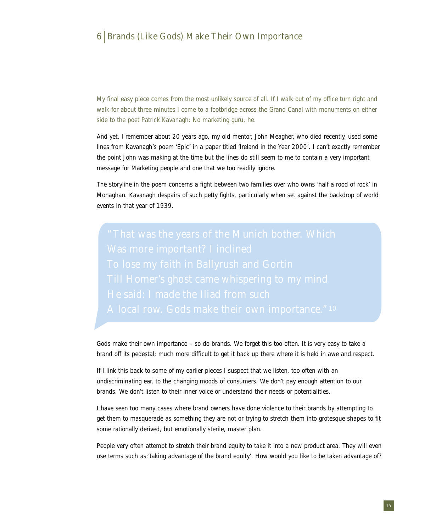#### 6 Brands (Like Gods) Make Their Own Importance

My final easy piece comes from the most unlikely source of all. If I walk out of my office turn right and walk for about three minutes I come to a footbridge across the Grand Canal with monuments on either side to the poet Patrick Kavanagh: No marketing guru, he.

And yet, I remember about 20 years ago, my old mentor, John Meagher, who died recently, used some lines from Kavanagh's poem *'Epic'* in a paper titled 'Ireland in the Year 2000'. I can't exactly remember the point John was making at the time but the lines do still seem to me to contain a very important message for Marketing people and one that we too readily ignore.

The storyline in the poem concerns a fight between two families over who owns 'half a rood of rock' in Monaghan. Kavanagh despairs of such petty fights, particularly when set against the backdrop of world events in that year of 1939.

Gods make their own importance – so do brands. We forget this too often. It is very easy to take a brand off its pedestal; much more difficult to get it back up there where it is held in awe and respect.

If I link this back to some of my earlier pieces I suspect that we listen, too often with an undiscriminating ear, to the changing moods of consumers. We don't pay enough attention to our brands. We don't listen to their inner voice or understand their needs or potentialities.

I have seen too many cases where brand owners have done violence to their brands by attempting to get them to masquerade as something they are not or trying to stretch them into grotesque shapes to fit some rationally derived, but emotionally sterile, master plan.

People very often attempt to stretch their brand equity to take it into a new product area. They will even use terms such as:'taking advantage of the brand equity'. How would you like to be taken advantage of?